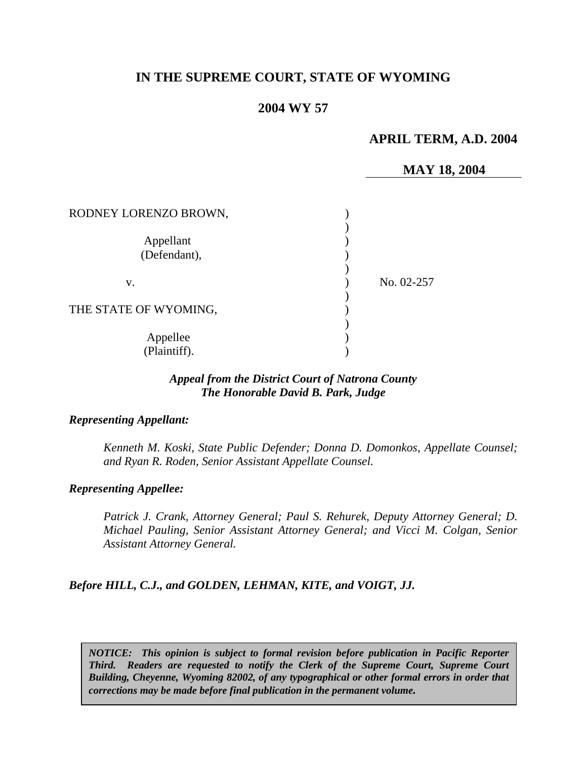# **IN THE SUPREME COURT, STATE OF WYOMING**

# **2004 WY 57**

## **APRIL TERM, A.D. 2004**

### **MAY 18, 2004**

| RODNEY LORENZO BROWN,     |            |
|---------------------------|------------|
| Appellant<br>(Defendant), |            |
| v.                        | No. 02-257 |
| THE STATE OF WYOMING,     |            |
| Appellee<br>(Plaintiff).  |            |

### *Appeal from the District Court of Natrona County The Honorable David B. Park, Judge*

#### *Representing Appellant:*

*Kenneth M. Koski, State Public Defender; Donna D. Domonkos, Appellate Counsel; and Ryan R. Roden, Senior Assistant Appellate Counsel.* 

#### *Representing Appellee:*

*Patrick J. Crank, Attorney General; Paul S. Rehurek, Deputy Attorney General; D. Michael Pauling, Senior Assistant Attorney General; and Vicci M. Colgan, Senior Assistant Attorney General.* 

#### *Before HILL, C.J., and GOLDEN, LEHMAN, KITE, and VOIGT, JJ.*

*NOTICE: This opinion is subject to formal revision before publication in Pacific Reporter Third. Readers are requested to notify the Clerk of the Supreme Court, Supreme Court Building, Cheyenne, Wyoming 82002, of any typographical or other formal errors in order that corrections may be made before final publication in the permanent volume.*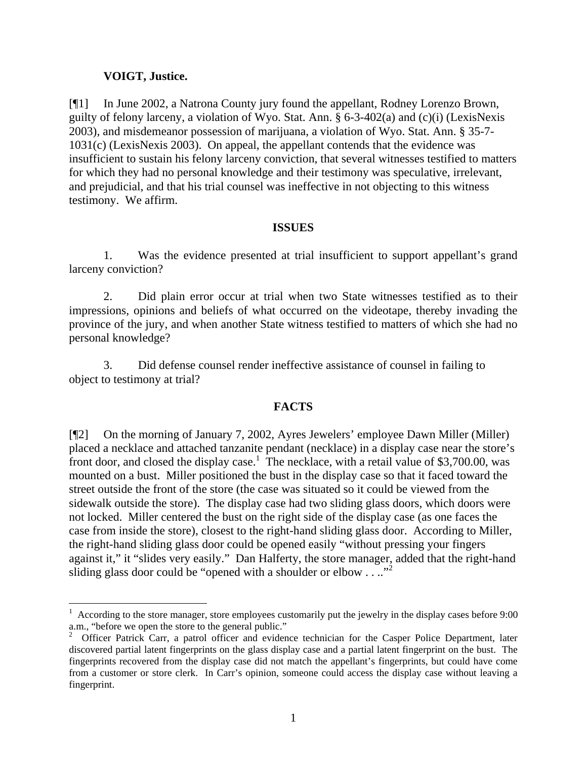## **VOIGT, Justice.**

[¶1] In June 2002, a Natrona County jury found the appellant, Rodney Lorenzo Brown, guilty of felony larceny, a violation of Wyo. Stat. Ann. § 6-3-402(a) and (c)(i) (LexisNexis 2003), and misdemeanor possession of marijuana, a violation of Wyo. Stat. Ann. § 35-7- 1031(c) (LexisNexis 2003). On appeal, the appellant contends that the evidence was insufficient to sustain his felony larceny conviction, that several witnesses testified to matters for which they had no personal knowledge and their testimony was speculative, irrelevant, and prejudicial, and that his trial counsel was ineffective in not objecting to this witness testimony. We affirm.

### **ISSUES**

1. Was the evidence presented at trial insufficient to support appellant's grand larceny conviction?

2. Did plain error occur at trial when two State witnesses testified as to their impressions, opinions and beliefs of what occurred on the videotape, thereby invading the province of the jury, and when another State witness testified to matters of which she had no personal knowledge?

3. Did defense counsel render ineffective assistance of counsel in failing to object to testimony at trial?

## **FACTS**

[¶2] On the morning of January 7, 2002, Ayres Jewelers' employee Dawn Miller (Miller) placed a necklace and attached tanzanite pendant (necklace) in a display case near the store's front door, and closed the display case.<sup>1</sup> The necklace, with a retail value of \$3,700.00, was mounted on a bust. Miller positioned the bust in the display case so that it faced toward the street outside the front of the store (the case was situated so it could be viewed from the sidewalk outside the store). The display case had two sliding glass doors, which doors were not locked. Miller centered the bust on the right side of the display case (as one faces the case from inside the store), closest to the right-hand sliding glass door. According to Miller, the right-hand sliding glass door could be opened easily "without pressing your fingers against it," it "slides very easily." Dan Halferty, the store manager, added that the right-hand sliding glass door could be "opened with a shoulder or elbow . . ..."

  $1$  According to the store manager, store employees customarily put the jewelry in the display cases before 9:00 a.m., "before we open the store to the general public."

<sup>&</sup>lt;sup>2</sup> Officer Patrick Carr, a patrol officer and evidence technician for the Casper Police Department, later discovered partial latent fingerprints on the glass display case and a partial latent fingerprint on the bust. The fingerprints recovered from the display case did not match the appellant's fingerprints, but could have come from a customer or store clerk. In Carr's opinion, someone could access the display case without leaving a fingerprint.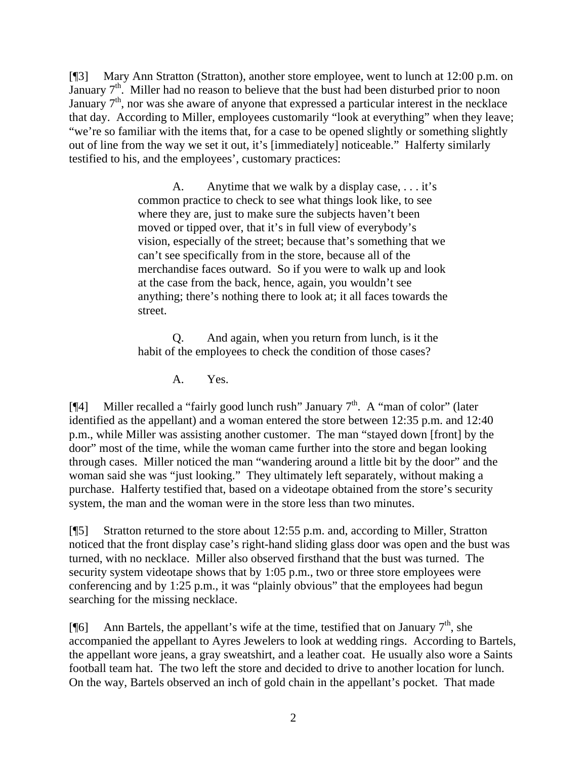[¶3] Mary Ann Stratton (Stratton), another store employee, went to lunch at 12:00 p.m. on January  $7<sup>th</sup>$ . Miller had no reason to believe that the bust had been disturbed prior to noon January  $7<sup>th</sup>$ , nor was she aware of anyone that expressed a particular interest in the necklace that day. According to Miller, employees customarily "look at everything" when they leave; "we're so familiar with the items that, for a case to be opened slightly or something slightly out of line from the way we set it out, it's [immediately] noticeable." Halferty similarly testified to his, and the employees', customary practices:

> A. Anytime that we walk by a display case, . . . it's common practice to check to see what things look like, to see where they are, just to make sure the subjects haven't been moved or tipped over, that it's in full view of everybody's vision, especially of the street; because that's something that we can't see specifically from in the store, because all of the merchandise faces outward. So if you were to walk up and look at the case from the back, hence, again, you wouldn't see anything; there's nothing there to look at; it all faces towards the street.

Q. And again, when you return from lunch, is it the habit of the employees to check the condition of those cases?

A. Yes.

[ $[$ 4] Miller recalled a "fairly good lunch rush" January  $7<sup>th</sup>$ . A "man of color" (later identified as the appellant) and a woman entered the store between 12:35 p.m. and 12:40 p.m., while Miller was assisting another customer. The man "stayed down [front] by the door" most of the time, while the woman came further into the store and began looking through cases. Miller noticed the man "wandering around a little bit by the door" and the woman said she was "just looking." They ultimately left separately, without making a purchase. Halferty testified that, based on a videotape obtained from the store's security system, the man and the woman were in the store less than two minutes.

[¶5] Stratton returned to the store about 12:55 p.m. and, according to Miller, Stratton noticed that the front display case's right-hand sliding glass door was open and the bust was turned, with no necklace. Miller also observed firsthand that the bust was turned. The security system videotape shows that by 1:05 p.m., two or three store employees were conferencing and by 1:25 p.m., it was "plainly obvious" that the employees had begun searching for the missing necklace.

[ $\llbracket 6\rrbracket$  Ann Bartels, the appellant's wife at the time, testified that on January  $7<sup>th</sup>$ , she accompanied the appellant to Ayres Jewelers to look at wedding rings. According to Bartels, the appellant wore jeans, a gray sweatshirt, and a leather coat. He usually also wore a Saints football team hat. The two left the store and decided to drive to another location for lunch. On the way, Bartels observed an inch of gold chain in the appellant's pocket. That made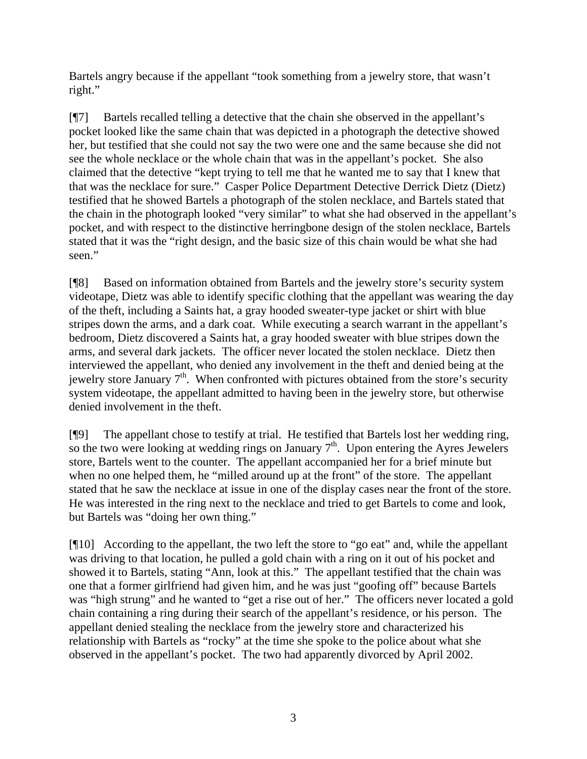Bartels angry because if the appellant "took something from a jewelry store, that wasn't right."

[¶7] Bartels recalled telling a detective that the chain she observed in the appellant's pocket looked like the same chain that was depicted in a photograph the detective showed her, but testified that she could not say the two were one and the same because she did not see the whole necklace or the whole chain that was in the appellant's pocket. She also claimed that the detective "kept trying to tell me that he wanted me to say that I knew that that was the necklace for sure." Casper Police Department Detective Derrick Dietz (Dietz) testified that he showed Bartels a photograph of the stolen necklace, and Bartels stated that the chain in the photograph looked "very similar" to what she had observed in the appellant's pocket, and with respect to the distinctive herringbone design of the stolen necklace, Bartels stated that it was the "right design, and the basic size of this chain would be what she had seen."

[¶8] Based on information obtained from Bartels and the jewelry store's security system videotape, Dietz was able to identify specific clothing that the appellant was wearing the day of the theft, including a Saints hat, a gray hooded sweater-type jacket or shirt with blue stripes down the arms, and a dark coat. While executing a search warrant in the appellant's bedroom, Dietz discovered a Saints hat, a gray hooded sweater with blue stripes down the arms, and several dark jackets. The officer never located the stolen necklace. Dietz then interviewed the appellant, who denied any involvement in the theft and denied being at the jewelry store January  $7<sup>th</sup>$ . When confronted with pictures obtained from the store's security system videotape, the appellant admitted to having been in the jewelry store, but otherwise denied involvement in the theft.

[¶9] The appellant chose to testify at trial. He testified that Bartels lost her wedding ring, so the two were looking at wedding rings on January  $7<sup>th</sup>$ . Upon entering the Ayres Jewelers store, Bartels went to the counter. The appellant accompanied her for a brief minute but when no one helped them, he "milled around up at the front" of the store. The appellant stated that he saw the necklace at issue in one of the display cases near the front of the store. He was interested in the ring next to the necklace and tried to get Bartels to come and look, but Bartels was "doing her own thing."

[¶10] According to the appellant, the two left the store to "go eat" and, while the appellant was driving to that location, he pulled a gold chain with a ring on it out of his pocket and showed it to Bartels, stating "Ann, look at this." The appellant testified that the chain was one that a former girlfriend had given him, and he was just "goofing off" because Bartels was "high strung" and he wanted to "get a rise out of her." The officers never located a gold chain containing a ring during their search of the appellant's residence, or his person. The appellant denied stealing the necklace from the jewelry store and characterized his relationship with Bartels as "rocky" at the time she spoke to the police about what she observed in the appellant's pocket. The two had apparently divorced by April 2002.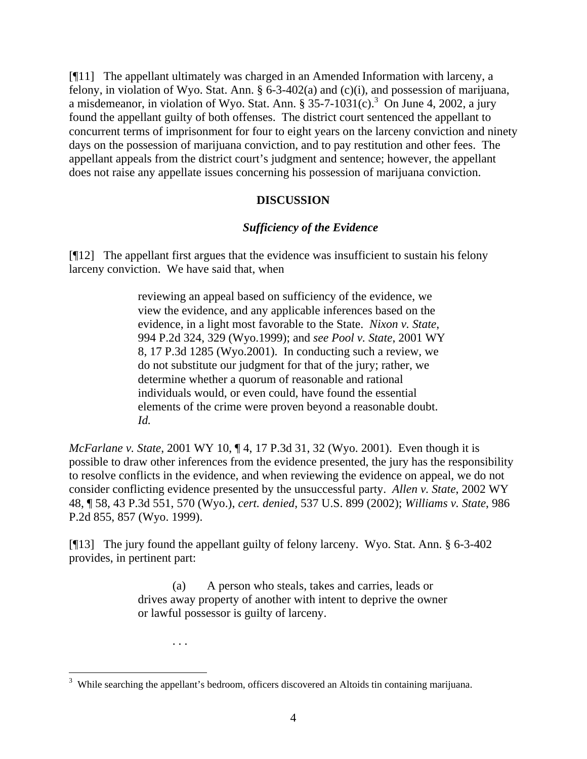[¶11] The appellant ultimately was charged in an Amended Information with larceny, a felony, in violation of Wyo. Stat. Ann. § 6-3-402(a) and (c)(i), and possession of marijuana, a misdemeanor, in violation of Wyo. Stat. Ann. § 35-7-1031 $(c)$ .<sup>3</sup> On June 4, 2002, a jury found the appellant guilty of both offenses. The district court sentenced the appellant to concurrent terms of imprisonment for four to eight years on the larceny conviction and ninety days on the possession of marijuana conviction, and to pay restitution and other fees. The appellant appeals from the district court's judgment and sentence; however, the appellant does not raise any appellate issues concerning his possession of marijuana conviction.

## **DISCUSSION**

## *Sufficiency of the Evidence*

[¶12] The appellant first argues that the evidence was insufficient to sustain his felony larceny conviction. We have said that, when

> reviewing an appeal based on sufficiency of the evidence, we view the evidence, and any applicable inferences based on the evidence, in a light most favorable to the State. *Nixon v. State*, 994 P.2d 324, 329 (Wyo.1999); and *see Pool v. State*, 2001 WY 8, 17 P.3d 1285 (Wyo.2001). In conducting such a review, we do not substitute our judgment for that of the jury; rather, we determine whether a quorum of reasonable and rational individuals would, or even could, have found the essential elements of the crime were proven beyond a reasonable doubt. *Id.*

*McFarlane v. State*, 2001 WY 10, ¶ 4, 17 P.3d 31, 32 (Wyo. 2001). Even though it is possible to draw other inferences from the evidence presented, the jury has the responsibility to resolve conflicts in the evidence, and when reviewing the evidence on appeal, we do not consider conflicting evidence presented by the unsuccessful party. *Allen v. State*, 2002 WY 48, ¶ 58, 43 P.3d 551, 570 (Wyo.), *cert. denied*, 537 U.S. 899 (2002); *Williams v. State*, 986 P.2d 855, 857 (Wyo. 1999).

[¶13] The jury found the appellant guilty of felony larceny. Wyo. Stat. Ann. § 6-3-402 provides, in pertinent part:

> (a) A person who steals, takes and carries, leads or drives away property of another with intent to deprive the owner or lawful possessor is guilty of larceny.

> > . . .

<sup>&</sup>lt;sup>3</sup> While searching the appellant's bedroom, officers discovered an Altoids tin containing marijuana.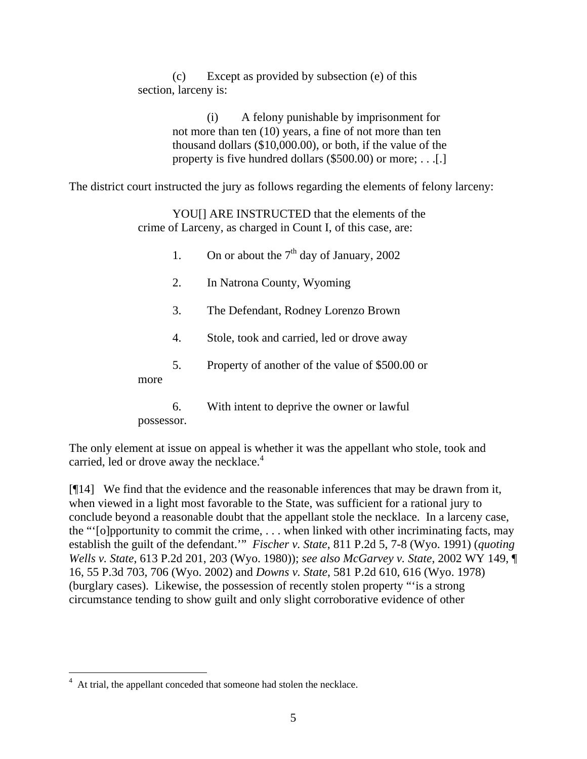(c) Except as provided by subsection (e) of this section, larceny is:

> (i) A felony punishable by imprisonment for not more than ten (10) years, a fine of not more than ten thousand dollars (\$10,000.00), or both, if the value of the property is five hundred dollars (\$500.00) or more; . . .[.]

The district court instructed the jury as follows regarding the elements of felony larceny:

YOU[] ARE INSTRUCTED that the elements of the crime of Larceny, as charged in Count I, of this case, are:

|      | 1. | On or about the $7th$ day of January, 2002      |
|------|----|-------------------------------------------------|
|      | 2. | In Natrona County, Wyoming                      |
|      | 3. | The Defendant, Rodney Lorenzo Brown             |
|      | 4. | Stole, took and carried, led or drove away      |
| more | 5. | Property of another of the value of \$500.00 or |
|      | 6. | With intent to deprive the owner or lawful      |

possessor.

The only element at issue on appeal is whether it was the appellant who stole, took and carried, led or drove away the necklace.<sup>4</sup>

[¶14] We find that the evidence and the reasonable inferences that may be drawn from it, when viewed in a light most favorable to the State, was sufficient for a rational jury to conclude beyond a reasonable doubt that the appellant stole the necklace. In a larceny case, the "'[o]pportunity to commit the crime, . . . when linked with other incriminating facts, may establish the guilt of the defendant.'" *Fischer v. State*, 811 P.2d 5, 7-8 (Wyo. 1991) (*quoting Wells v. State*, 613 P.2d 201, 203 (Wyo. 1980)); *see also McGarvey v. State*, 2002 WY 149, ¶ 16, 55 P.3d 703, 706 (Wyo. 2002) and *Downs v. State*, 581 P.2d 610, 616 (Wyo. 1978) (burglary cases). Likewise, the possession of recently stolen property "'is a strong circumstance tending to show guilt and only slight corroborative evidence of other

<sup>4</sup> At trial, the appellant conceded that someone had stolen the necklace.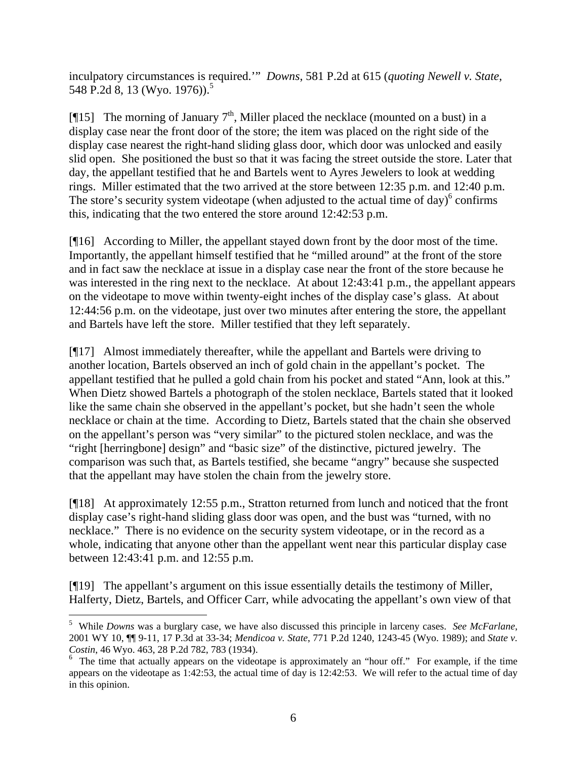inculpatory circumstances is required.'" *Downs*, 581 P.2d at 615 (*quoting Newell v. State*, 548 P.2d 8, 13 (Wyo. 1976)).<sup>5</sup>

[ $[$ [15] The morning of January 7<sup>th</sup>, Miller placed the necklace (mounted on a bust) in a display case near the front door of the store; the item was placed on the right side of the display case nearest the right-hand sliding glass door, which door was unlocked and easily slid open. She positioned the bust so that it was facing the street outside the store. Later that day, the appellant testified that he and Bartels went to Ayres Jewelers to look at wedding rings. Miller estimated that the two arrived at the store between 12:35 p.m. and 12:40 p.m. The store's security system videotape (when adjusted to the actual time of day) $6$  confirms this, indicating that the two entered the store around 12:42:53 p.m.

[¶16] According to Miller, the appellant stayed down front by the door most of the time. Importantly, the appellant himself testified that he "milled around" at the front of the store and in fact saw the necklace at issue in a display case near the front of the store because he was interested in the ring next to the necklace. At about 12:43:41 p.m., the appellant appears on the videotape to move within twenty-eight inches of the display case's glass. At about 12:44:56 p.m. on the videotape, just over two minutes after entering the store, the appellant and Bartels have left the store. Miller testified that they left separately.

[¶17] Almost immediately thereafter, while the appellant and Bartels were driving to another location, Bartels observed an inch of gold chain in the appellant's pocket. The appellant testified that he pulled a gold chain from his pocket and stated "Ann, look at this." When Dietz showed Bartels a photograph of the stolen necklace, Bartels stated that it looked like the same chain she observed in the appellant's pocket, but she hadn't seen the whole necklace or chain at the time. According to Dietz, Bartels stated that the chain she observed on the appellant's person was "very similar" to the pictured stolen necklace, and was the "right [herringbone] design" and "basic size" of the distinctive, pictured jewelry. The comparison was such that, as Bartels testified, she became "angry" because she suspected that the appellant may have stolen the chain from the jewelry store.

[¶18] At approximately 12:55 p.m., Stratton returned from lunch and noticed that the front display case's right-hand sliding glass door was open, and the bust was "turned, with no necklace." There is no evidence on the security system videotape, or in the record as a whole, indicating that anyone other than the appellant went near this particular display case between 12:43:41 p.m. and 12:55 p.m.

[¶19] The appellant's argument on this issue essentially details the testimony of Miller, Halferty, Dietz, Bartels, and Officer Carr, while advocating the appellant's own view of that

 $\overline{a}$ 

<sup>5</sup> While *Downs* was a burglary case, we have also discussed this principle in larceny cases. *See McFarlane*, 2001 WY 10, ¶¶ 9-11, 17 P.3d at 33-34; *Mendicoa v. State*, 771 P.2d 1240, 1243-45 (Wyo. 1989); and *State v. Costin*, 46 Wyo. 463, 28 P.2d 782, 783 (1934).

<sup>&</sup>lt;sup>6</sup> The time that actually appears on the videotape is approximately an "hour off." For example, if the time appears on the videotape as 1:42:53, the actual time of day is 12:42:53. We will refer to the actual time of day in this opinion.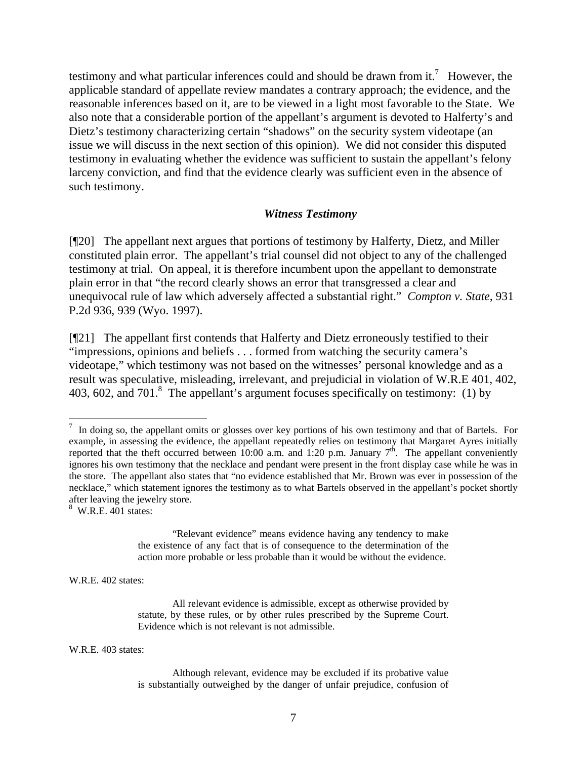testimony and what particular inferences could and should be drawn from it.<sup>7</sup> However, the applicable standard of appellate review mandates a contrary approach; the evidence, and the reasonable inferences based on it, are to be viewed in a light most favorable to the State. We also note that a considerable portion of the appellant's argument is devoted to Halferty's and Dietz's testimony characterizing certain "shadows" on the security system videotape (an issue we will discuss in the next section of this opinion). We did not consider this disputed testimony in evaluating whether the evidence was sufficient to sustain the appellant's felony larceny conviction, and find that the evidence clearly was sufficient even in the absence of such testimony.

#### *Witness Testimony*

[¶20] The appellant next argues that portions of testimony by Halferty, Dietz, and Miller constituted plain error. The appellant's trial counsel did not object to any of the challenged testimony at trial. On appeal, it is therefore incumbent upon the appellant to demonstrate plain error in that "the record clearly shows an error that transgressed a clear and unequivocal rule of law which adversely affected a substantial right." *Compton v. State*, 931 P.2d 936, 939 (Wyo. 1997).

[¶21] The appellant first contends that Halferty and Dietz erroneously testified to their "impressions, opinions and beliefs . . . formed from watching the security camera's videotape," which testimony was not based on the witnesses' personal knowledge and as a result was speculative, misleading, irrelevant, and prejudicial in violation of W.R.E 401, 402, 403, 602, and 701. $8$  The appellant's argument focuses specifically on testimony: (1) by

<sup>8</sup> W.R.E. 401 states:

"Relevant evidence" means evidence having any tendency to make the existence of any fact that is of consequence to the determination of the action more probable or less probable than it would be without the evidence.

W.R.E. 402 states:

W.R.E. 403 states:

<sup>&</sup>lt;sup>7</sup> In doing so, the appellant omits or glosses over key portions of his own testimony and that of Bartels. For example, in assessing the evidence, the appellant repeatedly relies on testimony that Margaret Ayres initially reported that the theft occurred between 10:00 a.m. and 1:20 p.m. January  $7<sup>th</sup>$ . The appellant conveniently ignores his own testimony that the necklace and pendant were present in the front display case while he was in the store. The appellant also states that "no evidence established that Mr. Brown was ever in possession of the necklace," which statement ignores the testimony as to what Bartels observed in the appellant's pocket shortly after leaving the jewelry store.

All relevant evidence is admissible, except as otherwise provided by statute, by these rules, or by other rules prescribed by the Supreme Court. Evidence which is not relevant is not admissible.

Although relevant, evidence may be excluded if its probative value is substantially outweighed by the danger of unfair prejudice, confusion of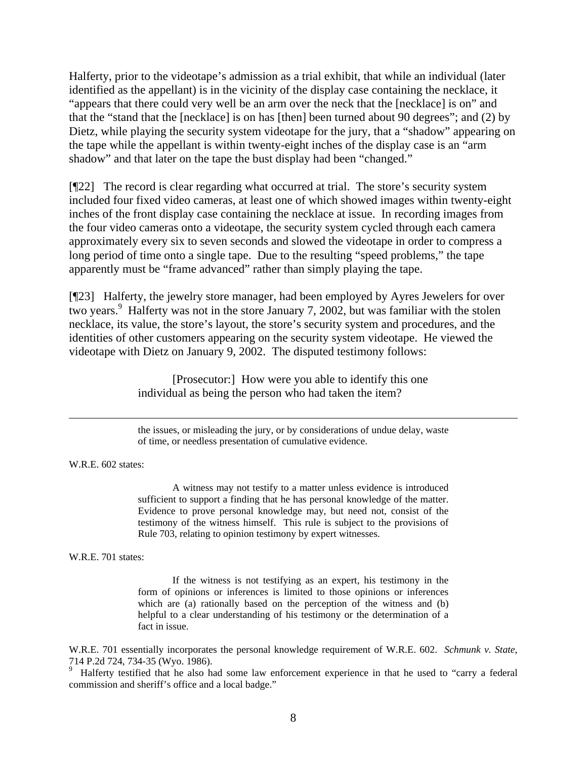Halferty, prior to the videotape's admission as a trial exhibit, that while an individual (later identified as the appellant) is in the vicinity of the display case containing the necklace, it "appears that there could very well be an arm over the neck that the [necklace] is on" and that the "stand that the [necklace] is on has [then] been turned about 90 degrees"; and (2) by Dietz, while playing the security system videotape for the jury, that a "shadow" appearing on the tape while the appellant is within twenty-eight inches of the display case is an "arm shadow" and that later on the tape the bust display had been "changed."

[¶22] The record is clear regarding what occurred at trial. The store's security system included four fixed video cameras, at least one of which showed images within twenty-eight inches of the front display case containing the necklace at issue. In recording images from the four video cameras onto a videotape, the security system cycled through each camera approximately every six to seven seconds and slowed the videotape in order to compress a long period of time onto a single tape. Due to the resulting "speed problems," the tape apparently must be "frame advanced" rather than simply playing the tape.

[¶23] Halferty, the jewelry store manager, had been employed by Ayres Jewelers for over two years.<sup>9</sup> Halferty was not in the store January 7, 2002, but was familiar with the stolen necklace, its value, the store's layout, the store's security system and procedures, and the identities of other customers appearing on the security system videotape. He viewed the videotape with Dietz on January 9, 2002. The disputed testimony follows:

> [Prosecutor:] How were you able to identify this one individual as being the person who had taken the item?

the issues, or misleading the jury, or by considerations of undue delay, waste of time, or needless presentation of cumulative evidence.

W.R.E. 602 states:

A witness may not testify to a matter unless evidence is introduced sufficient to support a finding that he has personal knowledge of the matter. Evidence to prove personal knowledge may, but need not, consist of the testimony of the witness himself. This rule is subject to the provisions of Rule 703, relating to opinion testimony by expert witnesses.

W.R.E. 701 states:

If the witness is not testifying as an expert, his testimony in the form of opinions or inferences is limited to those opinions or inferences which are (a) rationally based on the perception of the witness and (b) helpful to a clear understanding of his testimony or the determination of a fact in issue.

W.R.E. 701 essentially incorporates the personal knowledge requirement of W.R.E. 602. *Schmunk v. State*, 714 P.2d 724, 734-35 (Wyo. 1986).

9 Halferty testified that he also had some law enforcement experience in that he used to "carry a federal commission and sheriff's office and a local badge."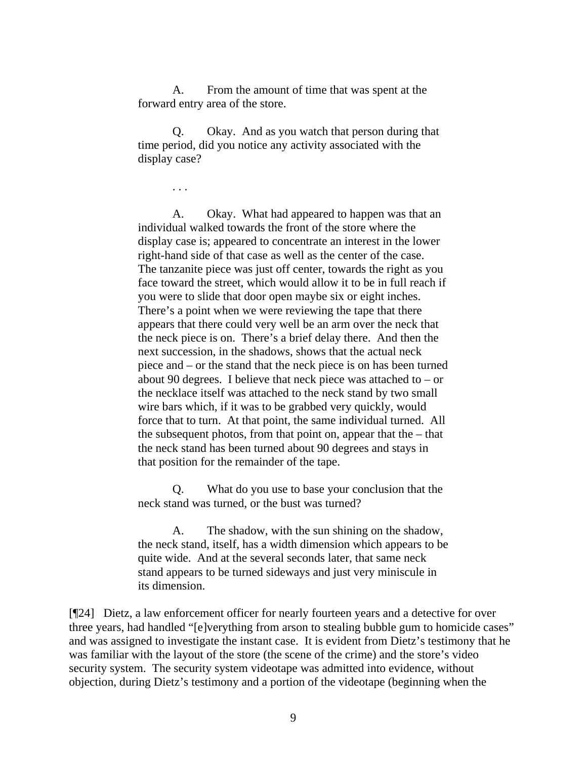A. From the amount of time that was spent at the forward entry area of the store.

Q. Okay. And as you watch that person during that time period, did you notice any activity associated with the display case?

. . .

A. Okay. What had appeared to happen was that an individual walked towards the front of the store where the display case is; appeared to concentrate an interest in the lower right-hand side of that case as well as the center of the case. The tanzanite piece was just off center, towards the right as you face toward the street, which would allow it to be in full reach if you were to slide that door open maybe six or eight inches. There's a point when we were reviewing the tape that there appears that there could very well be an arm over the neck that the neck piece is on. There's a brief delay there. And then the next succession, in the shadows, shows that the actual neck piece and – or the stand that the neck piece is on has been turned about 90 degrees. I believe that neck piece was attached to  $-$  or the necklace itself was attached to the neck stand by two small wire bars which, if it was to be grabbed very quickly, would force that to turn. At that point, the same individual turned. All the subsequent photos, from that point on, appear that the  $-$  that the neck stand has been turned about 90 degrees and stays in that position for the remainder of the tape.

Q. What do you use to base your conclusion that the neck stand was turned, or the bust was turned?

A. The shadow, with the sun shining on the shadow, the neck stand, itself, has a width dimension which appears to be quite wide. And at the several seconds later, that same neck stand appears to be turned sideways and just very miniscule in its dimension.

[¶24] Dietz, a law enforcement officer for nearly fourteen years and a detective for over three years, had handled "[e]verything from arson to stealing bubble gum to homicide cases" and was assigned to investigate the instant case. It is evident from Dietz's testimony that he was familiar with the layout of the store (the scene of the crime) and the store's video security system. The security system videotape was admitted into evidence, without objection, during Dietz's testimony and a portion of the videotape (beginning when the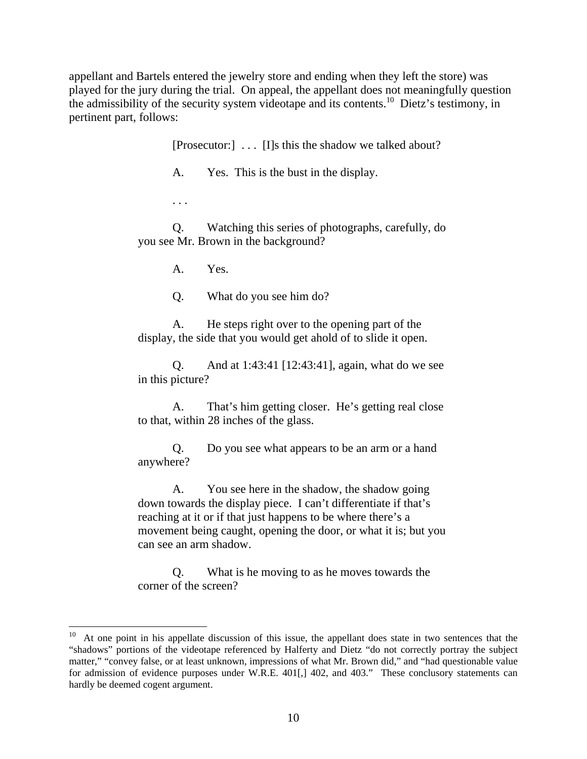appellant and Bartels entered the jewelry store and ending when they left the store) was played for the jury during the trial. On appeal, the appellant does not meaningfully question the admissibility of the security system videotape and its contents.<sup>10</sup> Dietz's testimony, in pertinent part, follows:

[Prosecutor:] . . . [I]s this the shadow we talked about?

A. Yes. This is the bust in the display.

. . .

 $\overline{a}$ 

Q. Watching this series of photographs, carefully, do you see Mr. Brown in the background?

A. Yes.

Q. What do you see him do?

A. He steps right over to the opening part of the display, the side that you would get ahold of to slide it open.

Q. And at 1:43:41 [12:43:41], again, what do we see in this picture?

A. That's him getting closer. He's getting real close to that, within 28 inches of the glass.

Q. Do you see what appears to be an arm or a hand anywhere?

A. You see here in the shadow, the shadow going down towards the display piece. I can't differentiate if that's reaching at it or if that just happens to be where there's a movement being caught, opening the door, or what it is; but you can see an arm shadow.

Q. What is he moving to as he moves towards the corner of the screen?

<sup>&</sup>lt;sup>10</sup> At one point in his appellate discussion of this issue, the appellant does state in two sentences that the "shadows" portions of the videotape referenced by Halferty and Dietz "do not correctly portray the subject matter," "convey false, or at least unknown, impressions of what Mr. Brown did," and "had questionable value for admission of evidence purposes under W.R.E. 401[,] 402, and 403." These conclusory statements can hardly be deemed cogent argument.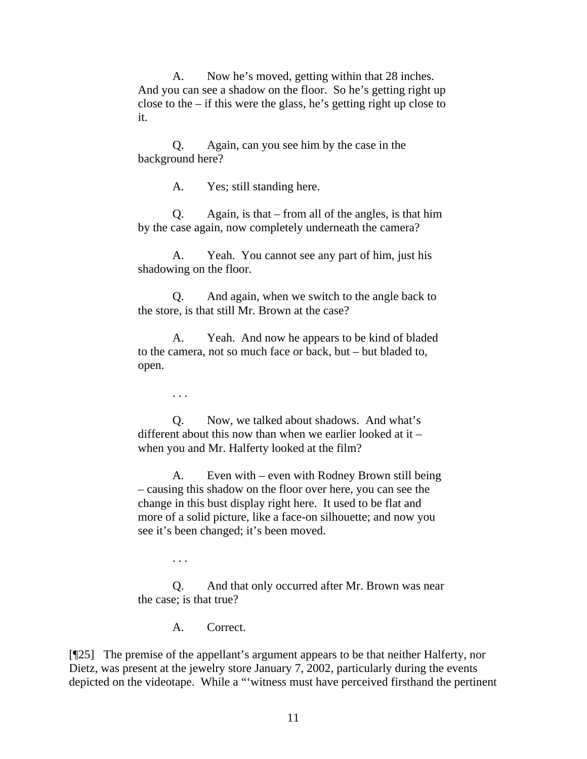A. Now he's moved, getting within that 28 inches. And you can see a shadow on the floor. So he's getting right up close to the – if this were the glass, he's getting right up close to it.

Q. Again, can you see him by the case in the background here?

A. Yes; still standing here.

Q. Again, is that – from all of the angles, is that him by the case again, now completely underneath the camera?

A. Yeah. You cannot see any part of him, just his shadowing on the floor.

Q. And again, when we switch to the angle back to the store, is that still Mr. Brown at the case?

A. Yeah. And now he appears to be kind of bladed to the camera, not so much face or back, but – but bladed to, open.

. . .

Q. Now, we talked about shadows. And what's different about this now than when we earlier looked at it – when you and Mr. Halferty looked at the film?

A. Even with – even with Rodney Brown still being – causing this shadow on the floor over here, you can see the change in this bust display right here. It used to be flat and more of a solid picture, like a face-on silhouette; and now you see it's been changed; it's been moved.

. . .

Q. And that only occurred after Mr. Brown was near the case; is that true?

A. Correct.

[¶25] The premise of the appellant's argument appears to be that neither Halferty, nor Dietz, was present at the jewelry store January 7, 2002, particularly during the events depicted on the videotape. While a "'witness must have perceived firsthand the pertinent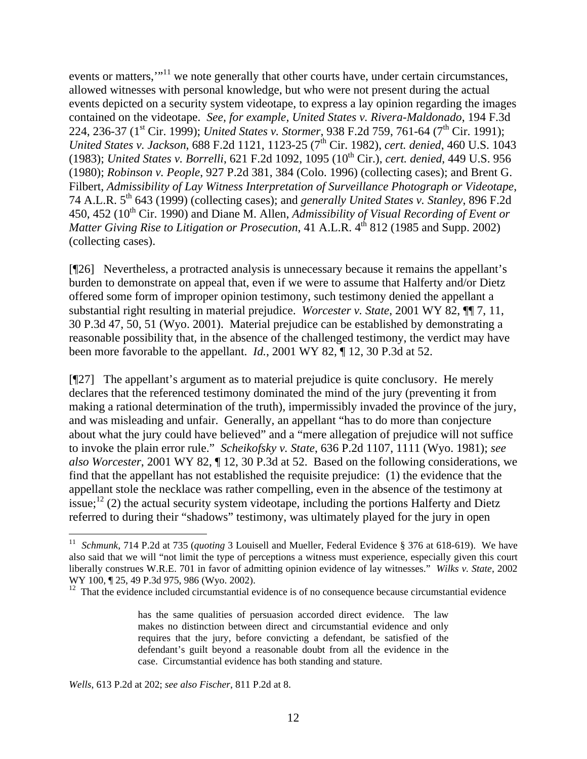events or matters,"<sup>11</sup> we note generally that other courts have, under certain circumstances, allowed witnesses with personal knowledge, but who were not present during the actual events depicted on a security system videotape, to express a lay opinion regarding the images contained on the videotape. *See, for example, United States v. Rivera-Maldonado*, 194 F.3d 224, 236-37 (1<sup>st</sup> Cir. 1999); *United States v. Stormer*, 938 F.2d 759, 761-64 (7<sup>th</sup> Cir. 1991); *United States v. Jackson,* 688 F.2d 1121, 1123-25 (7<sup>th</sup> Cir. 1982), *cert. denied*, 460 U.S. 1043 (1983); *United States v. Borrelli*, 621 F.2d 1092, 1095 (10th Cir.), *cert. denied*, 449 U.S. 956 (1980); *Robinson v. People*, 927 P.2d 381, 384 (Colo. 1996) (collecting cases); and Brent G. Filbert, *Admissibility of Lay Witness Interpretation of Surveillance Photograph or Videotape*, 74 A.L.R. 5th 643 (1999) (collecting cases); and *generally United States v. Stanley*, 896 F.2d 450, 452 (10<sup>th</sup> Cir. 1990) and Diane M. Allen, *Admissibility of Visual Recording of Event or Matter Giving Rise to Litigation or Prosecution*, 41 A.L.R. 4<sup>th</sup> 812 (1985 and Supp. 2002) (collecting cases).

[¶26] Nevertheless, a protracted analysis is unnecessary because it remains the appellant's burden to demonstrate on appeal that, even if we were to assume that Halferty and/or Dietz offered some form of improper opinion testimony, such testimony denied the appellant a substantial right resulting in material prejudice. *Worcester v. State*, 2001 WY 82, ¶¶ 7, 11, 30 P.3d 47, 50, 51 (Wyo. 2001). Material prejudice can be established by demonstrating a reasonable possibility that, in the absence of the challenged testimony, the verdict may have been more favorable to the appellant. *Id.*, 2001 WY 82, ¶ 12, 30 P.3d at 52.

[¶27] The appellant's argument as to material prejudice is quite conclusory. He merely declares that the referenced testimony dominated the mind of the jury (preventing it from making a rational determination of the truth), impermissibly invaded the province of the jury, and was misleading and unfair. Generally, an appellant "has to do more than conjecture about what the jury could have believed" and a "mere allegation of prejudice will not suffice to invoke the plain error rule." *Scheikofsky v. State*, 636 P.2d 1107, 1111 (Wyo. 1981); *see also Worcester*, 2001 WY 82, ¶ 12, 30 P.3d at 52. Based on the following considerations, we find that the appellant has not established the requisite prejudice: (1) the evidence that the appellant stole the necklace was rather compelling, even in the absence of the testimony at issue;<sup>12</sup> (2) the actual security system videotape, including the portions Halferty and Dietz referred to during their "shadows" testimony, was ultimately played for the jury in open

*Wells*, 613 P.2d at 202; *see also Fischer*, 811 P.2d at 8.

 $\overline{a}$ 

<sup>&</sup>lt;sup>11</sup> *Schmunk*, 714 P.2d at 735 (*quoting* 3 Louisell and Mueller, Federal Evidence § 376 at 618-619). We have also said that we will "not limit the type of perceptions a witness must experience, especially given this court liberally construes W.R.E. 701 in favor of admitting opinion evidence of lay witnesses." *Wilks v. State*, 2002 WY 100,  $\sqrt{25}$ , 49 P.3d 975, 986 (Wyo. 2002).

 $12$  That the evidence included circumstantial evidence is of no consequence because circumstantial evidence

has the same qualities of persuasion accorded direct evidence. The law makes no distinction between direct and circumstantial evidence and only requires that the jury, before convicting a defendant, be satisfied of the defendant's guilt beyond a reasonable doubt from all the evidence in the case. Circumstantial evidence has both standing and stature.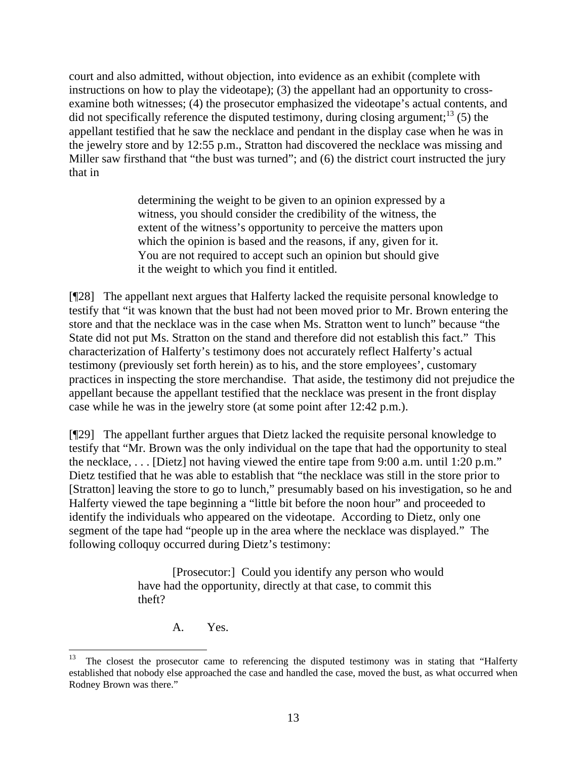court and also admitted, without objection, into evidence as an exhibit (complete with instructions on how to play the videotape); (3) the appellant had an opportunity to crossexamine both witnesses; (4) the prosecutor emphasized the videotape's actual contents, and did not specifically reference the disputed testimony, during closing argument;<sup>13</sup> (5) the appellant testified that he saw the necklace and pendant in the display case when he was in the jewelry store and by 12:55 p.m., Stratton had discovered the necklace was missing and Miller saw firsthand that "the bust was turned"; and (6) the district court instructed the jury that in

> determining the weight to be given to an opinion expressed by a witness, you should consider the credibility of the witness, the extent of the witness's opportunity to perceive the matters upon which the opinion is based and the reasons, if any, given for it. You are not required to accept such an opinion but should give it the weight to which you find it entitled.

[¶28] The appellant next argues that Halferty lacked the requisite personal knowledge to testify that "it was known that the bust had not been moved prior to Mr. Brown entering the store and that the necklace was in the case when Ms. Stratton went to lunch" because "the State did not put Ms. Stratton on the stand and therefore did not establish this fact." This characterization of Halferty's testimony does not accurately reflect Halferty's actual testimony (previously set forth herein) as to his, and the store employees', customary practices in inspecting the store merchandise. That aside, the testimony did not prejudice the appellant because the appellant testified that the necklace was present in the front display case while he was in the jewelry store (at some point after 12:42 p.m.).

[¶29] The appellant further argues that Dietz lacked the requisite personal knowledge to testify that "Mr. Brown was the only individual on the tape that had the opportunity to steal the necklace, . . . [Dietz] not having viewed the entire tape from 9:00 a.m. until 1:20 p.m." Dietz testified that he was able to establish that "the necklace was still in the store prior to [Stratton] leaving the store to go to lunch," presumably based on his investigation, so he and Halferty viewed the tape beginning a "little bit before the noon hour" and proceeded to identify the individuals who appeared on the videotape. According to Dietz, only one segment of the tape had "people up in the area where the necklace was displayed." The following colloquy occurred during Dietz's testimony:

> [Prosecutor:] Could you identify any person who would have had the opportunity, directly at that case, to commit this theft?

> > A. Yes.

 $\overline{a}$ 

The closest the prosecutor came to referencing the disputed testimony was in stating that "Halferty established that nobody else approached the case and handled the case, moved the bust, as what occurred when Rodney Brown was there."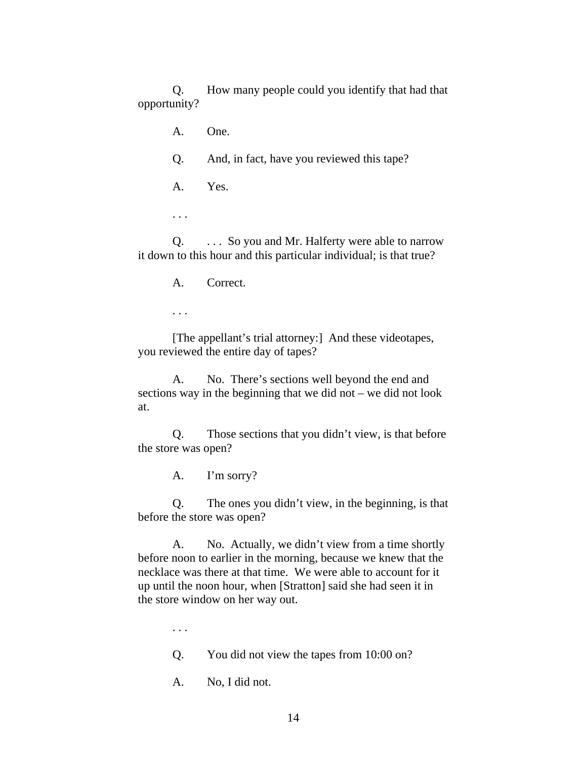Q. How many people could you identify that had that opportunity?

A. One.

Q. And, in fact, have you reviewed this tape?

A. Yes.

. . .

Q. . . . So you and Mr. Halferty were able to narrow it down to this hour and this particular individual; is that true?

A. Correct.

. . .

[The appellant's trial attorney:] And these videotapes, you reviewed the entire day of tapes?

A. No. There's sections well beyond the end and sections way in the beginning that we did not – we did not look at.

Q. Those sections that you didn't view, is that before the store was open?

A. I'm sorry?

Q. The ones you didn't view, in the beginning, is that before the store was open?

A. No. Actually, we didn't view from a time shortly before noon to earlier in the morning, because we knew that the necklace was there at that time. We were able to account for it up until the noon hour, when [Stratton] said she had seen it in the store window on her way out.

. . .

Q. You did not view the tapes from 10:00 on?

A. No, I did not.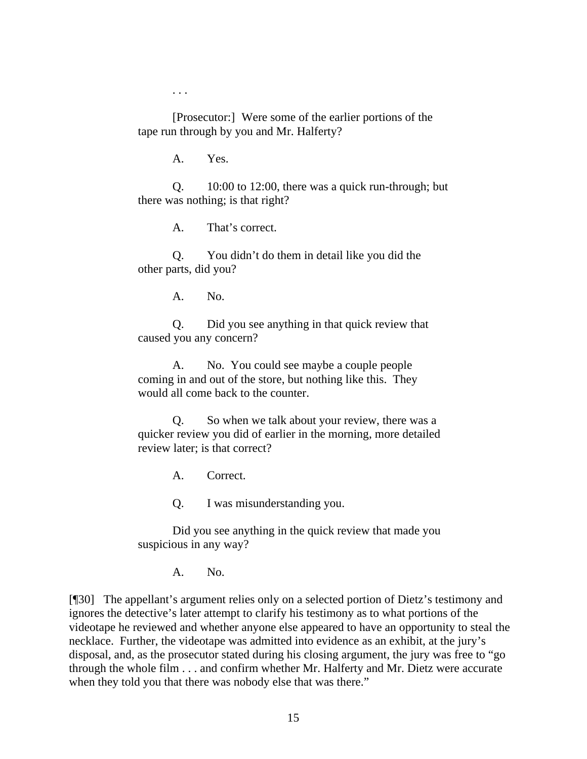. . .

[Prosecutor:] Were some of the earlier portions of the tape run through by you and Mr. Halferty?

A. Yes.

Q. 10:00 to 12:00, there was a quick run-through; but there was nothing; is that right?

A. That's correct.

Q. You didn't do them in detail like you did the other parts, did you?

A. No.

Q. Did you see anything in that quick review that caused you any concern?

A. No. You could see maybe a couple people coming in and out of the store, but nothing like this. They would all come back to the counter.

Q. So when we talk about your review, there was a quicker review you did of earlier in the morning, more detailed review later; is that correct?

A. Correct.

Q. I was misunderstanding you.

Did you see anything in the quick review that made you suspicious in any way?

A. No.

[¶30] The appellant's argument relies only on a selected portion of Dietz's testimony and ignores the detective's later attempt to clarify his testimony as to what portions of the videotape he reviewed and whether anyone else appeared to have an opportunity to steal the necklace. Further, the videotape was admitted into evidence as an exhibit, at the jury's disposal, and, as the prosecutor stated during his closing argument, the jury was free to "go through the whole film . . . and confirm whether Mr. Halferty and Mr. Dietz were accurate when they told you that there was nobody else that was there."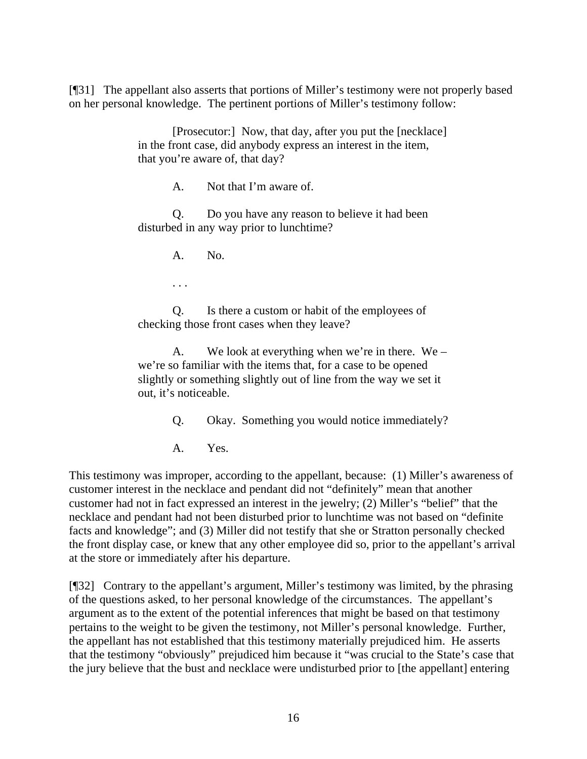[¶31] The appellant also asserts that portions of Miller's testimony were not properly based on her personal knowledge. The pertinent portions of Miller's testimony follow:

> [Prosecutor:] Now, that day, after you put the [necklace] in the front case, did anybody express an interest in the item, that you're aware of, that day?

> > A. Not that I'm aware of.

Q. Do you have any reason to believe it had been disturbed in any way prior to lunchtime?

A. No.

. . .

Q. Is there a custom or habit of the employees of checking those front cases when they leave?

A. We look at everything when we're in there. We – we're so familiar with the items that, for a case to be opened slightly or something slightly out of line from the way we set it out, it's noticeable.

Q. Okay. Something you would notice immediately?

A. Yes.

This testimony was improper, according to the appellant, because: (1) Miller's awareness of customer interest in the necklace and pendant did not "definitely" mean that another customer had not in fact expressed an interest in the jewelry; (2) Miller's "belief" that the necklace and pendant had not been disturbed prior to lunchtime was not based on "definite facts and knowledge"; and (3) Miller did not testify that she or Stratton personally checked the front display case, or knew that any other employee did so, prior to the appellant's arrival at the store or immediately after his departure.

[¶32] Contrary to the appellant's argument, Miller's testimony was limited, by the phrasing of the questions asked, to her personal knowledge of the circumstances. The appellant's argument as to the extent of the potential inferences that might be based on that testimony pertains to the weight to be given the testimony, not Miller's personal knowledge. Further, the appellant has not established that this testimony materially prejudiced him. He asserts that the testimony "obviously" prejudiced him because it "was crucial to the State's case that the jury believe that the bust and necklace were undisturbed prior to [the appellant] entering